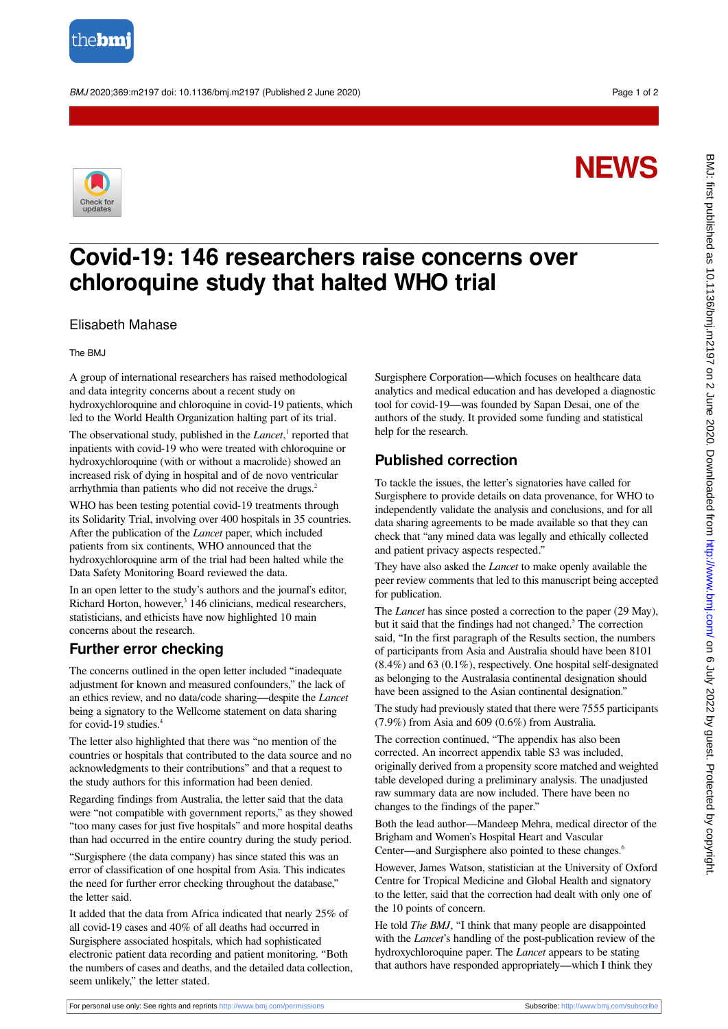

BMJ 2020;369:m2197 doi: 10.1136/bmj.m2197 (Published 2 June 2020) example to the control of 2

# **NEWS**



# **Covid-19: 146 researchers raise concerns over chloroquine study that halted WHO trial**

#### Elisabeth Mahase

The BMJ

A group of international researchers has raised methodological and data integrity concerns about a recent study on hydroxychloroquine and chloroquine in covid-19 patients, which led to the World Health Organization halting part of its trial.

The observational study, published in the *Lancet*,<sup>1</sup> reported that inpatients with covid-19 who were treated with chloroquine or hydroxychloroquine (with or without a macrolide) showed an increased risk of dying in hospital and of de novo ventricular arrhythmia than patients who did not receive the drugs.<sup>2</sup>

WHO has been testing potential covid-19 treatments through its Solidarity Trial, involving over 400 hospitals in 35 countries. After the publication of the *Lancet* paper, which included patients from six continents, WHO announced that the hydroxychloroquine arm of the trial had been halted while the Data Safety Monitoring Board reviewed the data.

In an open letter to the study's authors and the journal's editor, Richard Horton, however,<sup>3</sup> 146 clinicians, medical researchers, statisticians, and ethicists have now highlighted 10 main concerns about the research.

### **Further error checking**

The concerns outlined in the open letter included "inadequate adjustment for known and measured confounders," the lack of an ethics review, and no data/code sharing—despite the *Lancet* being a signatory to the Wellcome statement on data sharing for covid-19 studies.<sup>4</sup>

The letter also highlighted that there was "no mention of the countries or hospitals that contributed to the data source and no acknowledgments to their contributions" and that a request to the study authors for this information had been denied.

Regarding findings from Australia, the letter said that the data were "not compatible with government reports," as they showed "too many cases for just five hospitals" and more hospital deaths than had occurred in the entire country during the study period.

"Surgisphere (the data company) has since stated this was an error of classification of one hospital from Asia. This indicates the need for further error checking throughout the database," the letter said.

It added that the data from Africa indicated that nearly 25% of all covid-19 cases and 40% of all deaths had occurred in Surgisphere associated hospitals, which had sophisticated electronic patient data recording and patient monitoring. "Both the numbers of cases and deaths, and the detailed data collection, seem unlikely," the letter stated.

Surgisphere Corporation—which focuses on healthcare data analytics and medical education and has developed a diagnostic tool for covid-19—was founded by Sapan Desai, one of the authors of the study. It provided some funding and statistical help for the research.

## **Published correction**

To tackle the issues, the letter's signatories have called for Surgisphere to provide details on data provenance, for WHO to independently validate the analysis and conclusions, and for all data sharing agreements to be made available so that they can check that "any mined data was legally and ethically collected and patient privacy aspects respected."

They have also asked the *Lancet* to make openly available the peer review comments that led to this manuscript being accepted for publication.

The *Lancet* has since posted a correction to the paper (29 May), but it said that the findings had not changed.<sup>5</sup> The correction said, "In the first paragraph of the Results section, the numbers of participants from Asia and Australia should have been 8101 (8.4%) and 63 (0.1%), respectively. One hospital self-designated as belonging to the Australasia continental designation should have been assigned to the Asian continental designation."

The study had previously stated that there were 7555 participants (7.9%) from Asia and 609 (0.6%) from Australia.

The correction continued, "The appendix has also been corrected. An incorrect appendix table S3 was included, originally derived from a propensity score matched and weighted table developed during a preliminary analysis. The unadjusted raw summary data are now included. There have been no changes to the findings of the paper."

Both the lead author—Mandeep Mehra, medical director of the Brigham and Women's Hospital Heart and Vascular Center—and Surgisphere also pointed to these changes.<sup>6</sup>

However, James Watson, statistician at the University of Oxford Centre for Tropical Medicine and Global Health and signatory to the letter, said that the correction had dealt with only one of the 10 points of concern.

He told *The BMJ*, "I think that many people are disappointed with the *Lancet*'s handling of the post-publication review of the hydroxychloroquine paper. The *Lancet* appears to be stating that authors have responded appropriately—which I think they